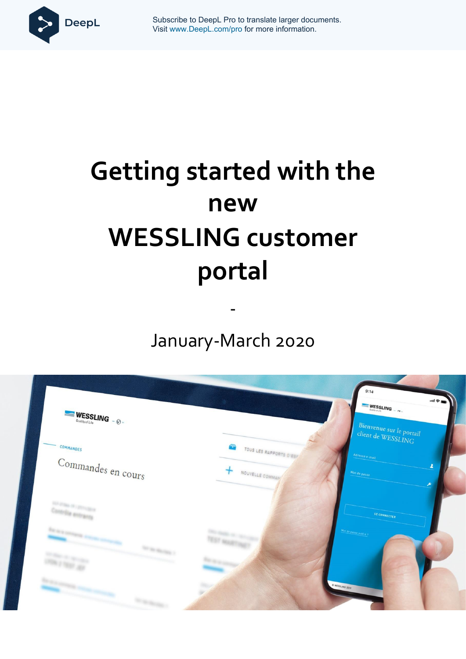

**Getting Started West Wisit www.DeepL.com/pro for more information.** Subscribe to DeepL Pro to translate larger documents.

# **Getting started with the new WESSLING customer portal**

January-March 2020

-

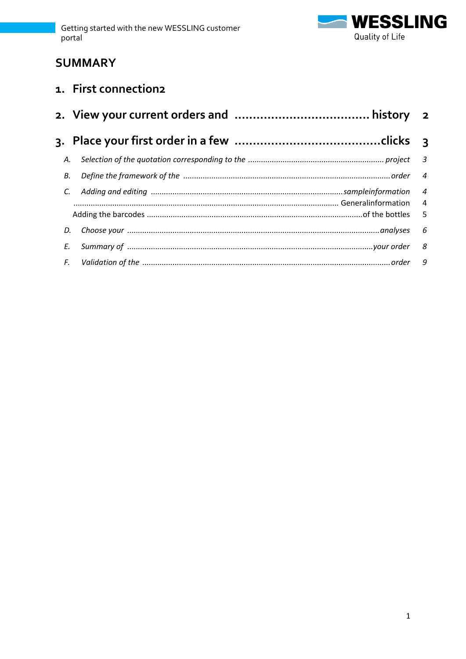

# **SUMMARY**

# 1. First connection2

| А. |                                                                                        |                 |
|----|----------------------------------------------------------------------------------------|-----------------|
| В. | Define the framework of the manufactured contain and a state of the manufactured order | $\overline{4}$  |
| C. |                                                                                        |                 |
|    |                                                                                        |                 |
| D. |                                                                                        | $6\overline{6}$ |
| E. |                                                                                        |                 |
|    |                                                                                        |                 |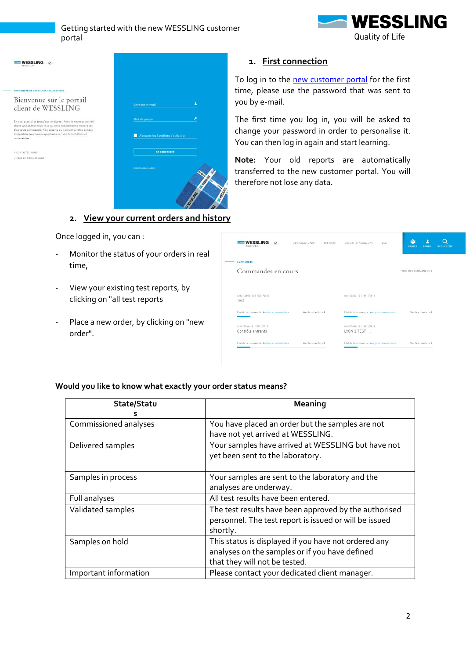$\overline{1}$ 





# <span id="page-2-0"></span>**1. First connection**

To log in to the [new customer portal](https://portal.wessling-group.com/dashboard) for the first time, please use the password that was sent to you by e-mail.

The first time you log in, you will be asked to change your password in order to personalise it. You can then log in again and start learning.

**Note:** Your old reports are automatically transferred to the new customer portal. You will therefore not lose any data.

## **2. View your current orders and history**

<span id="page-2-1"></span>Once logged in, you can :

- Monitor the status of your orders in real time,
- View your existing test reports, by clicking on "all test reports
- Place a new order, by clicking on "new order".

| $\blacksquare$ WESSLING $\lrcorner$<br>Quality of Life | MES COMMANDES        | SERVICES | NOUVELLE COMMANDE                        | FAQ | <b>PANIER</b>        | PROFIL               | <b>RECHERCHE</b> |
|--------------------------------------------------------|----------------------|----------|------------------------------------------|-----|----------------------|----------------------|------------------|
| <b>COMMANDES</b>                                       |                      |          |                                          |     |                      |                      |                  |
| Commandes en cours                                     |                      |          |                                          |     | VOIR MES COMMANDES > |                      |                  |
| CMU-00086-20   13/01/2020<br>Test                      |                      |          | ULY-23222-19   18/12/2019                |     |                      |                      |                  |
| État de la commande :Analyses commandées               | Voir les résultats > |          | État de la commande :Analyses commandées |     |                      | Voir les résultats > |                  |
| ULY-21364-19   27/11/2019<br>Contrôle entrants         |                      |          | ULY-20661-19   18/11/2019<br>LYON 2 TEST |     |                      |                      |                  |
| État de la commande :Analyses commandées               | Voir les résultats > |          | État de la commande :Analyses commandées |     |                      | Voir les résultats > |                  |

#### **Would you like to know what exactly your order status means?**

| State/Statu           | Meaning                                                                                                                                 |
|-----------------------|-----------------------------------------------------------------------------------------------------------------------------------------|
| Commissioned analyses | You have placed an order but the samples are not<br>have not yet arrived at WESSLING.                                                   |
| Delivered samples     | Your samples have arrived at WESSLING but have not<br>yet been sent to the laboratory.                                                  |
| Samples in process    | Your samples are sent to the laboratory and the<br>analyses are underway.                                                               |
| Full analyses         | All test results have been entered.                                                                                                     |
| Validated samples     | The test results have been approved by the authorised<br>personnel. The test report is issued or will be issued<br>shortly.             |
| Samples on hold       | This status is displayed if you have not ordered any<br>analyses on the samples or if you have defined<br>that they will not be tested. |
| Important information | Please contact your dedicated client manager.                                                                                           |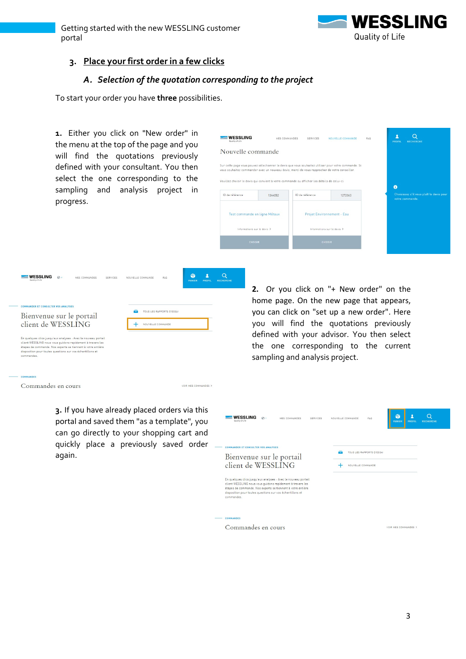

# **3. Place your first order in a few clicks**

## *A. Selection of the quotation corresponding to the project*

VOIR MES COMMANDES >

<span id="page-3-1"></span><span id="page-3-0"></span>To start your order you have **three** possibilities.

**1.** Either you click on "New order" in the menu at the top of the page and you will find the quotations previously defined with your consultant. You then select the one corresponding to the sampling and analysis project in progress.

| <b>WESSLING</b><br>Quality of Life | MES COMMANDES | SERVICES                                                                                                                                                                                              | FAQ<br>NOUVELLE COMMANDE   | PROFIL          | <b>RECHERCHE</b>                        |
|------------------------------------|---------------|-------------------------------------------------------------------------------------------------------------------------------------------------------------------------------------------------------|----------------------------|-----------------|-----------------------------------------|
| Nouvelle commande                  |               |                                                                                                                                                                                                       |                            |                 |                                         |
|                                    |               | Sur cette page vous pouvez sélectionner le devis que vous souhaitez utiliser pour votre commande. Si<br>vous souhaitez commander avec un nouveau devis, merci de vous rapprocher de votre conseiller. |                            |                 |                                         |
|                                    |               | Veuillez choisir le devis qui convient à votre commande ou afficher les détails de celui-ci.                                                                                                          |                            | A               |                                         |
| ID de référence                    | 1344052       | ID de référence                                                                                                                                                                                       | 1272063                    | votre commande. | Choisissez s'il vous plaît le devis pou |
| Test commande en ligne Métaux      |               |                                                                                                                                                                                                       | Projet Environnement - Eau |                 |                                         |
| Informations sur le devis. >       |               | Informations sur le devis >                                                                                                                                                                           |                            |                 |                                         |
| <b>CHOISIR</b>                     |               | <b>CHOISIR</b>                                                                                                                                                                                        |                            |                 |                                         |

| Quality of Life | <b>WESSLING</b><br>$\Omega$                                                                                                                                                                                                                              | MES COMMANDES | SERVICES | NOUVELLE COMMANDE | <b>FAQ</b>                                     | ю<br><b>PANIER</b> | <b>PROFIL</b> | <b>RECHERC</b> |
|-----------------|----------------------------------------------------------------------------------------------------------------------------------------------------------------------------------------------------------------------------------------------------------|---------------|----------|-------------------|------------------------------------------------|--------------------|---------------|----------------|
|                 | <b>COMMANDER ET CONSULTER VOS ANALYSES</b><br>Bienvenue sur le portail<br>client de WESSLING                                                                                                                                                             |               |          |                   | TOUS LES RAPPORTS D'ESSAI<br>NOUVELLE COMMANDE |                    |               |                |
| commandes.      | En quelques clics jusqu'aux analyses : Avec le nouveau portail<br>client WESSLING nous vous quidons rapidement à travers les<br>étapes de commande. Nos experts se tiennent à votre entière<br>disposition pour toutes questions sur vos échantillons et |               |          |                   |                                                |                    |               |                |
| COMMANDES       |                                                                                                                                                                                                                                                          |               |          |                   |                                                |                    |               |                |

Commandes en cours

**3.** If you have already placed orders via this portal and saved them "as a template", you can go directly to your shopping cart and quickly place a previously saved order again.

**2.** Or you click on "+ New order" on the home page. On the new page that appears, you can click on "set up a new order". Here you will find the quotations previously defined with your advisor. You then select the one corresponding to the current sampling and analysis project.

| WESSLING<br>$\Omega$<br>MES COMMANDES<br>SERVICES<br>Quality of Life                                                                                                                                                                                                                                                                                            | FAG<br>NOUVELLE COMMANDE<br><b>PANIER</b><br><b>PROFIL</b> | <b>RECHERCHE</b> |
|-----------------------------------------------------------------------------------------------------------------------------------------------------------------------------------------------------------------------------------------------------------------------------------------------------------------------------------------------------------------|------------------------------------------------------------|------------------|
| COMMANDER ET CONSULTER VOS ANALYSES<br>Bienvenue sur le portail<br>client de WESSLING<br>En quelques clics jusqu'aux analyses : Avec le nouveau portail<br>client WESSLING nous vous quidons rapidement à travers les<br>étapes de commande. Nos experts se tiennent à votre entière<br>disposition pour toutes questions sur vos échantillons et<br>commandes. | TOUS LES RAPPORTS D'ESSAI<br>NOUVELLE COMMANDE             |                  |
| <b>COMMANDES</b>                                                                                                                                                                                                                                                                                                                                                |                                                            |                  |
| Commandes en cours                                                                                                                                                                                                                                                                                                                                              | VOIR MES COMMANDES >                                       |                  |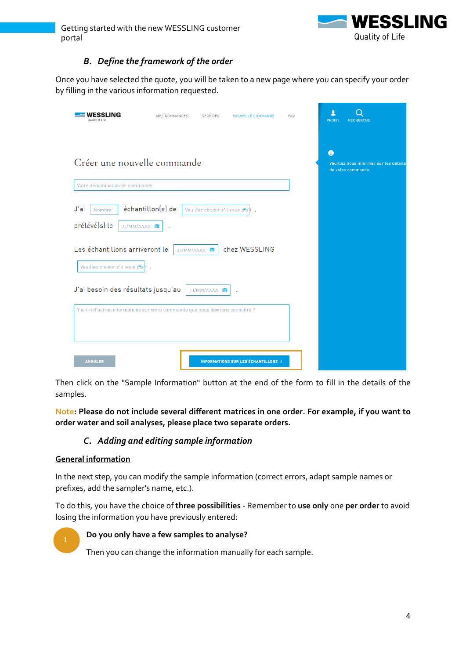

# *B. Define the framework of the order*

<span id="page-4-0"></span>Once you have selected the quote, you will be taken to a new page where you can specify your order by filling in the various information requested.

| NG<br>Quality of Life                         | MES COMMANDES<br>SERVICES                                                       | NOUVELLE COMMANDE                             | <b>FAQ</b> | PROFIL<br><b>RECHERCHE</b>                                        |
|-----------------------------------------------|---------------------------------------------------------------------------------|-----------------------------------------------|------------|-------------------------------------------------------------------|
| Créer une nouvelle commande                   |                                                                                 |                                               |            | 0<br>Veuillez nous informer sur les détails<br>de votre commande. |
| Votre dénomination de commande                |                                                                                 |                                               |            |                                                                   |
| J'ai<br>Nombre<br>prélévé(s) le<br>JJ/MM/AAAA | échantillon(s) de<br>Veuillez choisir s'il vous ptat ;                          |                                               |            |                                                                   |
| Les échantillons arriveront le                | JJ/MM/AAAA                                                                      | chez WESSLING                                 |            |                                                                   |
| Veuillez choisir s'il vous plat .             |                                                                                 |                                               |            |                                                                   |
| J'ai besoin des résultats jusqu'au            | JJ/MM/AAAA <b>in</b>                                                            |                                               |            |                                                                   |
|                                               | Y a-t-il d'autres informations sur votre commande que nous devrions connaître ? |                                               |            |                                                                   |
| <b>ANNULER</b>                                |                                                                                 | <b>INFORMATIONS SUR LES ÉCHANTILLONS &gt;</b> |            |                                                                   |

Then click on the "Sample Information" button at the end of the form to fill in the details of the samples.

<span id="page-4-1"></span>**Note: Please do not include several different matrices in one order. For example, if you want to order water and soil analyses, please place two separate orders.**

# *C. Adding and editing sample information*

## <span id="page-4-2"></span>**General information**

In the next step, you can modify the sample information (correct errors, adapt sample names or prefixes, add the sampler's name, etc.).

To do this, you have the choice of **three possibilities** - Remember to **use only** one **per order** to avoid losing the information you have previously entered:



#### **Do you only have a few samples to analyse?**

Then you can change the information manually for each sample.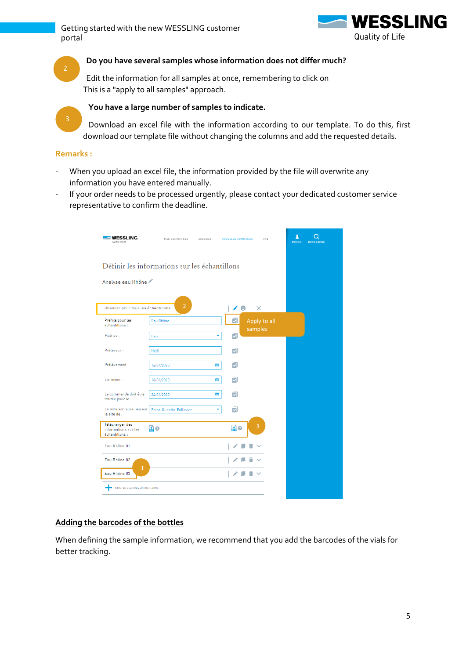

#### **Do you have several samples whose information does not differ much?**

Edit the information for all samples at once, remembering to click on This is a "apply to all samples" approach.

#### **You have a large number of samples to indicate.**

Download an excel file with the information according to our template. To do this, first download our template file without changing the columns and add the requested details.

#### **Remarks :**

- When you upload an excel file, the information provided by the file will overwrite any information you have entered manually.
- If your order needs to be processed urgently, please contact your dedicated customer service representative to confirm the deadline.

| WESSLING<br>Quality of Life                               | MES COMMANDES                                 | SERVICES | NOUVELLE COMMANDE       | FAQ                     | л<br>PROFIL<br><b>RECHERCHE</b> |  |
|-----------------------------------------------------------|-----------------------------------------------|----------|-------------------------|-------------------------|---------------------------------|--|
|                                                           | Définir les informations sur les échantillons |          |                         |                         |                                 |  |
| Analyse eau Rhône                                         |                                               |          |                         |                         |                                 |  |
| Changer pour tous les échantillons                        | $\overline{2}$                                |          | $\overline{C}$          | $\times$                |                                 |  |
| Préfixe pour les<br>échantillons :                        | Eau Rhône                                     |          | ञ                       | Apply to all<br>samples |                                 |  |
| Matrice:                                                  | Eau                                           | ٠        | ⊡                       |                         |                                 |  |
| Préleveur :                                               | Hédi                                          |          | ⊽                       |                         |                                 |  |
| Prélèvement :                                             | 14/01/2020                                    | m        | $\overline{\mathbf{v}}$ |                         |                                 |  |
| Livraison:                                                | 16/01/2020                                    | m        | $\overline{\mathbf{v}}$ |                         |                                 |  |
| La commande doit être<br>traitée pour le :                | 24/01/2020                                    | m        | $\overline{\mathbf{v}}$ |                         |                                 |  |
| La livraison aura lieu sur<br>le site de :                | Saint-Quentin-Fallavier                       |          | ⊽                       |                         |                                 |  |
| Télécharger des<br>informations sur les<br>échantillons : | 黒の                                            |          | 品の                      | 3                       |                                 |  |
| Eau Rhône 01                                              |                                               |          |                         |                         |                                 |  |
| Eau Rhône 02                                              |                                               |          |                         |                         |                                 |  |
| $\mathbf{1}$<br>Eau Rhône 03                              |                                               |          |                         |                         |                                 |  |
| AJOUTER D'AUTRES ÉCHANTILLONS                             |                                               |          |                         |                         |                                 |  |

#### <span id="page-5-0"></span>**Adding the barcodes of the bottles**

When defining the sample information, we recommend that you add the barcodes of the vials for better tracking.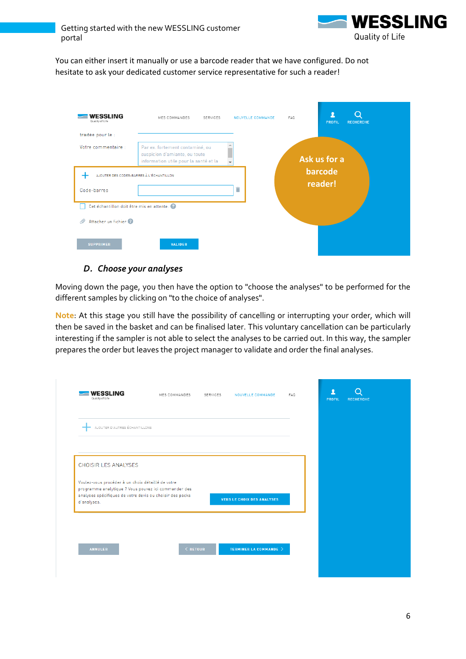

You can either insert it manually or use a barcode reader that we have configured. Do not hesitate to ask your dedicated customer service representative for such a reader!

| <b>WESSLING</b><br>Quality of Life<br>traitée pour le :               | MES COMMANDES<br>SERVICES                                                                                 | NOUVELLE COMMANDE | FAQ<br><b>RECHERCHE</b><br>PROFIL |
|-----------------------------------------------------------------------|-----------------------------------------------------------------------------------------------------------|-------------------|-----------------------------------|
| Votre commentaire :                                                   | Par ex. fortement contaminé, ou<br>suspicion d'amiante, ou toute<br>information utile pour la santé et la | $\mathbf{v}$      | Ask us for a                      |
| Code-barres                                                           | AJOUTER DES CODES-BARRES À L'ÉCHANTILLON                                                                  | ī                 | barcode<br>reader!                |
| Cet échantillon doit être mis en attente.<br>Attacher un fichier<br>℗ |                                                                                                           |                   |                                   |
| <b>SUPPRIMER</b>                                                      | <b>VALIDER</b>                                                                                            |                   |                                   |

# *D. Choose your analyses*

<span id="page-6-0"></span>Moving down the page, you then have the option to "choose the analyses" to be performed for the different samples by clicking on "to the choice of analyses".

**Note**: At this stage you still have the possibility of cancelling or interrupting your order, which will then be saved in the basket and can be finalised later. This voluntary cancellation can be particularly interesting if the sampler is not able to select the analyses to be carried out. In this way, the sampler prepares the order but leaves the project manager to validate and order the final analyses.

|                                                                                                                                                                                                                     |  |                                   |  | PROFIL | <b>RECHERCHE</b> |
|---------------------------------------------------------------------------------------------------------------------------------------------------------------------------------------------------------------------|--|-----------------------------------|--|--------|------------------|
| AJOUTER D'AUTRES ÉCHANTILLONS                                                                                                                                                                                       |  |                                   |  |        |                  |
|                                                                                                                                                                                                                     |  |                                   |  |        |                  |
|                                                                                                                                                                                                                     |  |                                   |  |        |                  |
|                                                                                                                                                                                                                     |  |                                   |  |        |                  |
|                                                                                                                                                                                                                     |  |                                   |  |        |                  |
| <b>CHOISIR LES ANALYSES</b><br>Voulez-vous procéder à un choix détaillé de votre<br>programme analytique ? Vous pouvez ici commander des<br>analyses spécifiques de votre devis ou choisir des packs<br>d'analyses. |  | <b>VERS LE CHOIX DES ANALYSES</b> |  |        |                  |
|                                                                                                                                                                                                                     |  |                                   |  |        |                  |
|                                                                                                                                                                                                                     |  |                                   |  |        |                  |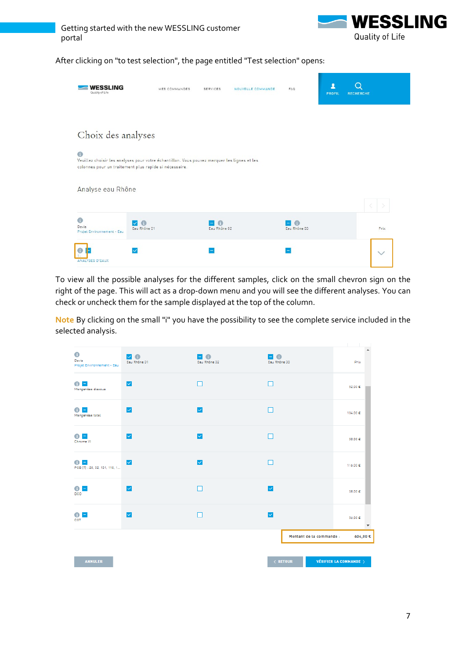

After clicking on "to test selection", the page entitled "Test selection" opens:

| <b>WESSLING</b><br>Quality of Life       | MES COMMANDES                                                                                                                                         | SERVICES     | NOUVELLE COMMANDE | FAQ               | <b>PROFIL</b> | <b>RECHERCHE</b> |
|------------------------------------------|-------------------------------------------------------------------------------------------------------------------------------------------------------|--------------|-------------------|-------------------|---------------|------------------|
|                                          |                                                                                                                                                       |              |                   |                   |               |                  |
| Choix des analyses                       |                                                                                                                                                       |              |                   |                   |               |                  |
| $\bigcirc$                               | Veuillez choisir les analyses pour votre échantillon. Vous pouvez marquer les lignes et les<br>colonnes pour un traitement plus rapide si nécessaire. |              |                   |                   |               |                  |
| Analyse eau Rhône                        |                                                                                                                                                       |              |                   |                   |               |                  |
| G<br>Devis<br>Projet Environnement - Eau | G<br>$\checkmark$<br>Eau Rhône 01                                                                                                                     | Eau Rhône 02 |                   | G<br>Eau Rhône 03 |               | Prix             |
| <b>ANALYSES D'EAUX</b>                   |                                                                                                                                                       |              |                   |                   |               |                  |

To view all the possible analyses for the different samples, click on the small chevron sign on the right of the page. This will act as a drop-down menu and you will see the different analyses. You can check or uncheck them for the sample displayed at the top of the column.

**Note** By clicking on the small "i" you have the possibility to see the complete service included in the selected analysis.

| $\bullet$                                           | V O                  | E 0                     | <b>E 0</b>               |                               |
|-----------------------------------------------------|----------------------|-------------------------|--------------------------|-------------------------------|
| Devis<br>Projet Environnement - Eau                 | Eau Rhône 01         | Eau Rhône 02            | Eau Rhône 03             | Prix                          |
| o<br>Manganèse dissous                              | $\blacktriangledown$ |                         |                          | 52.00 €                       |
| G<br>٠<br>Manganèse total                           | $\checkmark$         | $\blacktriangledown$    |                          | 104,00 €                      |
| O<br>$\equiv$<br>Chrome VI                          | $\checkmark$         | $\overline{\smile}$     |                          | 58,00 €                       |
| Ω<br>$\overline{a}$<br>PCB [7]: 28, 52, 101, 118, 1 | $\blacktriangledown$ | $\overline{\checkmark}$ |                          | 116,00 €                      |
| Θ<br>$\overline{\phantom{0}}$<br>DCO                | $\blacktriangledown$ |                         | $\overline{\mathsf{v}}$  | 38,00 €                       |
| ٠<br>o<br>COT                                       | $\blacktriangledown$ |                         | $\overline{\mathsf{v}}$  | 56,00 €                       |
|                                                     |                      |                         | Montant de la commande : | 604,00€                       |
| <b>ANNULER</b>                                      |                      |                         | $\langle$ RETOUR         | <b>VÉRIFIER LA COMMANDE</b> > |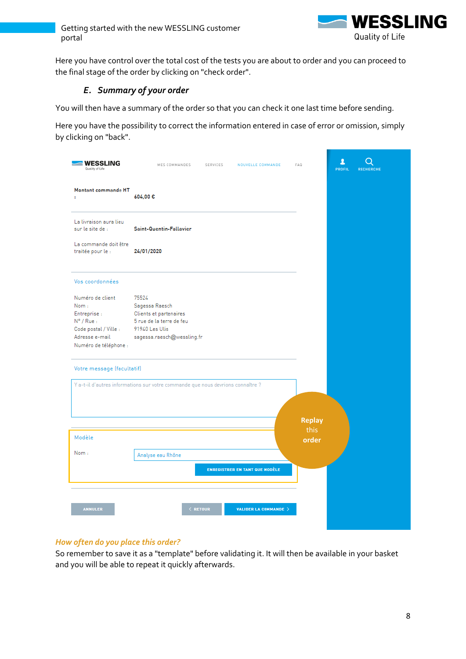

<span id="page-8-0"></span>Here you have control over the total cost of the tests you are about to order and you can proceed to the final stage of the order by clicking on "check order".

# *E. Summary of your order*

You will then have a summary of the order so that you can check it one last time before sending.

Here you have the possibility to correct the information entered in case of error or omission, simply by clicking on "back".

| <b>WESSLING</b><br>Quality of Life         | MES COMMANDES<br>SERVICES<br>NOUVELLE COMMANDE                                  | FAQ           | л<br>PROFIL<br><b>RECHERCHE</b> |
|--------------------------------------------|---------------------------------------------------------------------------------|---------------|---------------------------------|
| Montant commande HT<br>÷.                  | 604,00€                                                                         |               |                                 |
| La livraison aura lieu<br>sur le site de : | Saint-Quentin-Fallavier                                                         |               |                                 |
| La commande doit être<br>traitée pour le : | 24/01/2020                                                                      |               |                                 |
| Vos coordonnées                            |                                                                                 |               |                                 |
| Numéro de client                           | 75524                                                                           |               |                                 |
| Nom:                                       | Sagessa Raesch                                                                  |               |                                 |
| Entreprise :<br>$N^{\circ}$ / Rue:         | Clients et partenaires<br>5 rue de la terre de feu                              |               |                                 |
| Code postal / Ville :                      | 91940 Les Ulis                                                                  |               |                                 |
| Adresse e-mail                             | sagessa.raesch@wessling.fr                                                      |               |                                 |
| Numéro de téléphone :                      |                                                                                 |               |                                 |
| Votre message (facultatif)                 |                                                                                 |               |                                 |
|                                            | Y a-t-il d'autres informations sur votre commande que nous devrions connaître ? |               |                                 |
|                                            |                                                                                 |               |                                 |
|                                            |                                                                                 |               |                                 |
|                                            |                                                                                 | <b>Replay</b> |                                 |
| Modèle                                     |                                                                                 | this<br>order |                                 |
| Nom:                                       |                                                                                 |               |                                 |
|                                            | Analyse eau Rhône                                                               |               |                                 |
|                                            | <b>ENREGISTRER EN TANT QUE MODÈLE</b>                                           |               |                                 |
|                                            |                                                                                 |               |                                 |
| <b>ANNULER</b>                             | $\langle$ RETOUR<br><b>VALIDER LA COMMANDE &gt;</b>                             |               |                                 |

# *How often do you place this order?*

So remember to save it as a "template" before validating it. It will then be available in your basket and you will be able to repeat it quickly afterwards.